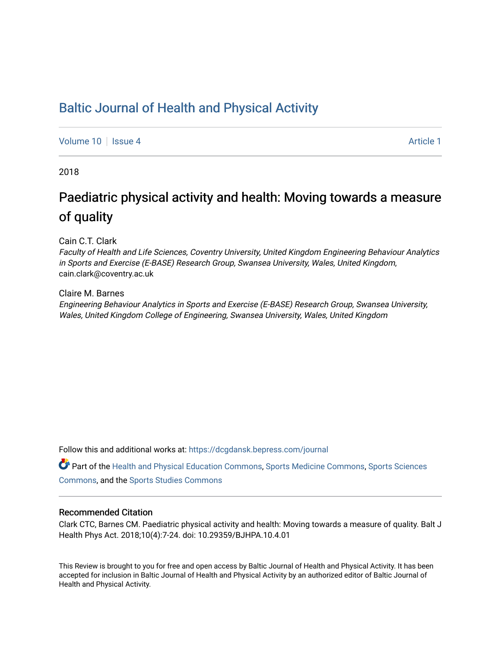### [Baltic Journal of Health and Physical Activity](https://dcgdansk.bepress.com/journal)

[Volume 10](https://dcgdansk.bepress.com/journal/vol10) | [Issue 4](https://dcgdansk.bepress.com/journal/vol10/iss4) Article 1

2018

## Paediatric physical activity and health: Moving towards a measure of quality

Cain C.T. Clark

Faculty of Health and Life Sciences, Coventry University, United Kingdom Engineering Behaviour Analytics in Sports and Exercise (E-BASE) Research Group, Swansea University, Wales, United Kingdom, cain.clark@coventry.ac.uk

Claire M. Barnes

Engineering Behaviour Analytics in Sports and Exercise (E-BASE) Research Group, Swansea University, Wales, United Kingdom College of Engineering, Swansea University, Wales, United Kingdom

Follow this and additional works at: [https://dcgdansk.bepress.com/journal](https://dcgdansk.bepress.com/journal?utm_source=dcgdansk.bepress.com%2Fjournal%2Fvol10%2Fiss4%2F1&utm_medium=PDF&utm_campaign=PDFCoverPages)

Part of the [Health and Physical Education Commons](http://network.bepress.com/hgg/discipline/1327?utm_source=dcgdansk.bepress.com%2Fjournal%2Fvol10%2Fiss4%2F1&utm_medium=PDF&utm_campaign=PDFCoverPages), [Sports Medicine Commons,](http://network.bepress.com/hgg/discipline/1331?utm_source=dcgdansk.bepress.com%2Fjournal%2Fvol10%2Fiss4%2F1&utm_medium=PDF&utm_campaign=PDFCoverPages) [Sports Sciences](http://network.bepress.com/hgg/discipline/759?utm_source=dcgdansk.bepress.com%2Fjournal%2Fvol10%2Fiss4%2F1&utm_medium=PDF&utm_campaign=PDFCoverPages) [Commons](http://network.bepress.com/hgg/discipline/759?utm_source=dcgdansk.bepress.com%2Fjournal%2Fvol10%2Fiss4%2F1&utm_medium=PDF&utm_campaign=PDFCoverPages), and the [Sports Studies Commons](http://network.bepress.com/hgg/discipline/1198?utm_source=dcgdansk.bepress.com%2Fjournal%2Fvol10%2Fiss4%2F1&utm_medium=PDF&utm_campaign=PDFCoverPages) 

#### Recommended Citation

Clark CTC, Barnes CM. Paediatric physical activity and health: Moving towards a measure of quality. Balt J Health Phys Act. 2018;10(4):7-24. doi: 10.29359/BJHPA.10.4.01

This Review is brought to you for free and open access by Baltic Journal of Health and Physical Activity. It has been accepted for inclusion in Baltic Journal of Health and Physical Activity by an authorized editor of Baltic Journal of Health and Physical Activity.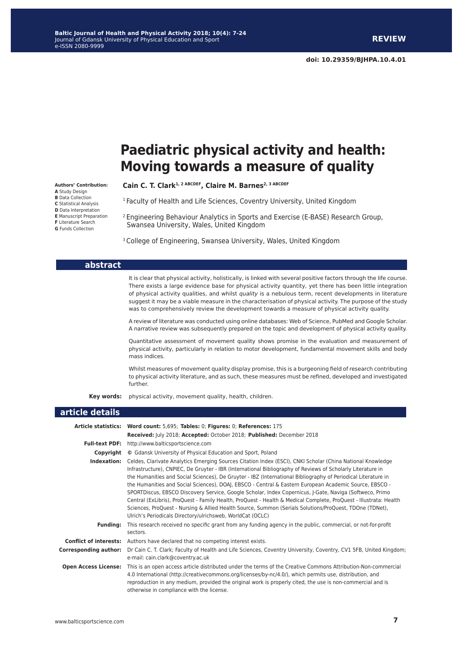# **Paediatric physical activity and health: Moving towards a measure of quality**

Cain C. T. Clark<sup>1, 2 ABCDEF</sup>, Claire M. Barnes<sup>2, 3 ABCDEF</sup>

<sup>1</sup> Faculty of Health and Life Sciences, Coventry University, United Kingdom

2 Engineering Behaviour Analytics in Sports and Exercise (E-BASE) Research Group, Swansea University, Wales, United Kingdom

<sup>3</sup> College of Engineering, Swansea University, Wales, United Kingdom

|                              | It is clear that physical activity, holistically, is linked with several positive factors through the life course.<br>There exists a large evidence base for physical activity quantity, yet there has been little integration<br>of physical activity qualities, and whilst quality is a nebulous term, recent developments in literature<br>suggest it may be a viable measure in the characterisation of physical activity. The purpose of the study<br>was to comprehensively review the development towards a measure of physical activity quality.                                                                                                                                                                                                                                                                                                                  |
|------------------------------|---------------------------------------------------------------------------------------------------------------------------------------------------------------------------------------------------------------------------------------------------------------------------------------------------------------------------------------------------------------------------------------------------------------------------------------------------------------------------------------------------------------------------------------------------------------------------------------------------------------------------------------------------------------------------------------------------------------------------------------------------------------------------------------------------------------------------------------------------------------------------|
|                              | A review of literature was conducted using online databases: Web of Science, PubMed and Google Scholar.<br>A narrative review was subsequently prepared on the topic and development of physical activity quality.                                                                                                                                                                                                                                                                                                                                                                                                                                                                                                                                                                                                                                                        |
|                              | Quantitative assessment of movement quality shows promise in the evaluation and measurement of<br>physical activity, particularly in relation to motor development, fundamental movement skills and body<br>mass indices.                                                                                                                                                                                                                                                                                                                                                                                                                                                                                                                                                                                                                                                 |
|                              | Whilst measures of movement quality display promise, this is a burgeoning field of research contributing<br>to physical activity literature, and as such, these measures must be refined, developed and investigated<br>further.                                                                                                                                                                                                                                                                                                                                                                                                                                                                                                                                                                                                                                          |
| Key words:                   | physical activity, movement quality, health, children.                                                                                                                                                                                                                                                                                                                                                                                                                                                                                                                                                                                                                                                                                                                                                                                                                    |
| article details              |                                                                                                                                                                                                                                                                                                                                                                                                                                                                                                                                                                                                                                                                                                                                                                                                                                                                           |
|                              | Article statistics: Word count: 5,695; Tables: 0; Figures: 0; References: 175                                                                                                                                                                                                                                                                                                                                                                                                                                                                                                                                                                                                                                                                                                                                                                                             |
|                              | Received: July 2018; Accepted: October 2018; Published: December 2018                                                                                                                                                                                                                                                                                                                                                                                                                                                                                                                                                                                                                                                                                                                                                                                                     |
|                              | Full-text PDF: http://www.balticsportscience.com                                                                                                                                                                                                                                                                                                                                                                                                                                                                                                                                                                                                                                                                                                                                                                                                                          |
|                              | <b>Copyright</b> © Gdansk University of Physical Education and Sport, Poland                                                                                                                                                                                                                                                                                                                                                                                                                                                                                                                                                                                                                                                                                                                                                                                              |
|                              |                                                                                                                                                                                                                                                                                                                                                                                                                                                                                                                                                                                                                                                                                                                                                                                                                                                                           |
|                              | Indexation: Celdes, Clarivate Analytics Emerging Sources Citation Index (ESCI), CNKI Scholar (China National Knowledge<br>Infrastructure), CNPIEC, De Gruyter - IBR (International Bibliography of Reviews of Scholarly Literature in<br>the Humanities and Social Sciences), De Gruyter - IBZ (International Bibliography of Periodical Literature in<br>the Humanities and Social Sciences), DOAI, EBSCO - Central & Eastern European Academic Source, EBSCO -<br>SPORTDiscus, EBSCO Discovery Service, Google Scholar, Index Copernicus, J-Gate, Naviga (Softweco, Primo<br>Central (ExLibris), ProQuest - Family Health, ProQuest - Health & Medical Complete, ProQuest - Illustrata: Health<br>Sciences, ProQuest - Nursing & Allied Health Source, Summon (Serials Solutions/ProQuest, TDOne (TDNet),<br>Ulrich's Periodicals Directory/ulrichsweb, WorldCat (OCLC) |
| <b>Funding:</b>              | This research received no specific grant from any funding agency in the public, commercial, or not-for-profit                                                                                                                                                                                                                                                                                                                                                                                                                                                                                                                                                                                                                                                                                                                                                             |
|                              | sectors.                                                                                                                                                                                                                                                                                                                                                                                                                                                                                                                                                                                                                                                                                                                                                                                                                                                                  |
| <b>Corresponding author:</b> | <b>Conflict of interests:</b> Authors have declared that no competing interest exists.<br>Dr Cain C. T. Clark; Faculty of Health and Life Sciences, Coventry University, Coventry, CV1 5FB, United Kingdom;                                                                                                                                                                                                                                                                                                                                                                                                                                                                                                                                                                                                                                                               |

e-mail: [cain.clark@coventry.ac.uk](mailto:cain.clark@coventry.ac.uk) **Open Access License:** This is an open access article distributed under the terms of the Creative Commons Attribution-Non-commercial 4.0 International [\(http://creativecommons.org/licenses/by-](http://creativecommons.org/licenses/by)nc/4.0/), which permits use, distribution, and reproduction in any medium, provided the original work is properly cited, the use is non-commercial and is otherwise in compliance with the license.

**Authors' Contribution: A** Study Design **B** Data Collection **C** Statistical Analysis **D** Data Interpretation **E** Manuscript Preparation **F** Literature Search **G** Funds Collection

**abstract**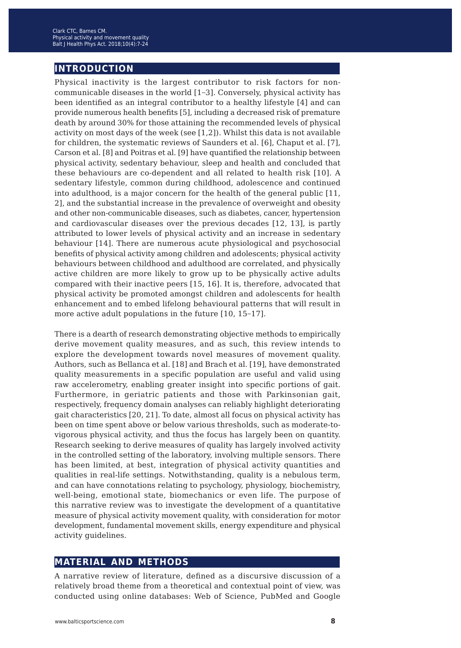#### **introduction**

Physical inactivity is the largest contributor to risk factors for noncommunicable diseases in the world [1−3]. Conversely, physical activity has been identified as an integral contributor to a healthy lifestyle [4] and can provide numerous health benefits [5], including a decreased risk of premature death by around 30% for those attaining the recommended levels of physical activity on most days of the week (see [1,2]). Whilst this data is not available for children, the systematic reviews of Saunders et al. [6], Chaput et al. [7], Carson et al. [8] and Poitras et al. [9] have quantified the relationship between physical activity, sedentary behaviour, sleep and health and concluded that these behaviours are co-dependent and all related to health risk [10]. A sedentary lifestyle, common during childhood, adolescence and continued into adulthood, is a major concern for the health of the general public [11, 2], and the substantial increase in the prevalence of overweight and obesity and other non-communicable diseases, such as diabetes, cancer, hypertension and cardiovascular diseases over the previous decades [12, 13], is partly attributed to lower levels of physical activity and an increase in sedentary behaviour [14]. There are numerous acute physiological and psychosocial benefits of physical activity among children and adolescents; physical activity behaviours between childhood and adulthood are correlated, and physically active children are more likely to grow up to be physically active adults compared with their inactive peers [15, 16]. It is, therefore, advocated that physical activity be promoted amongst children and adolescents for health enhancement and to embed lifelong behavioural patterns that will result in more active adult populations in the future [10, 15−17].

There is a dearth of research demonstrating objective methods to empirically derive movement quality measures, and as such, this review intends to explore the development towards novel measures of movement quality. Authors, such as Bellanca et al. [18] and Brach et al. [19], have demonstrated quality measurements in a specific population are useful and valid using raw accelerometry, enabling greater insight into specific portions of gait. Furthermore, in geriatric patients and those with Parkinsonian gait, respectively, frequency domain analyses can reliably highlight deteriorating gait characteristics [20, 21]. To date, almost all focus on physical activity has been on time spent above or below various thresholds, such as moderate-tovigorous physical activity, and thus the focus has largely been on quantity. Research seeking to derive measures of quality has largely involved activity in the controlled setting of the laboratory, involving multiple sensors. There has been limited, at best, integration of physical activity quantities and qualities in real-life settings. Notwithstanding, quality is a nebulous term, and can have connotations relating to psychology, physiology, biochemistry, well-being, emotional state, biomechanics or even life. The purpose of this narrative review was to investigate the development of a quantitative measure of physical activity movement quality, with consideration for motor development, fundamental movement skills, energy expenditure and physical activity guidelines.

#### **material and methods**

A narrative review of literature, defined as a discursive discussion of a relatively broad theme from a theoretical and contextual point of view, was conducted using online databases: Web of Science, PubMed and Google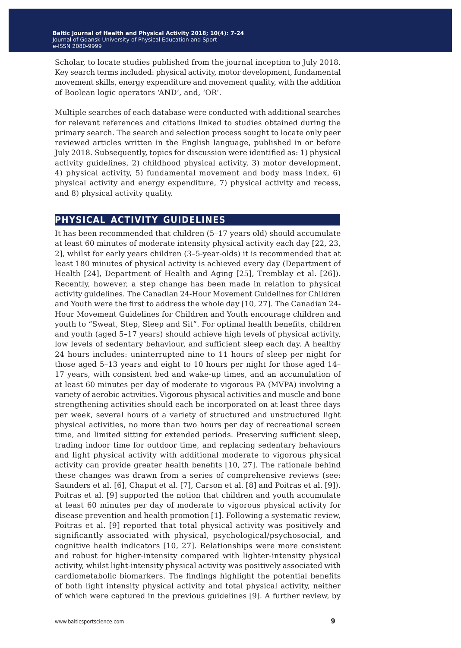Scholar, to locate studies published from the journal inception to July 2018. Key search terms included: physical activity, motor development, fundamental movement skills, energy expenditure and movement quality, with the addition of Boolean logic operators 'AND', and, 'OR'.

Multiple searches of each database were conducted with additional searches for relevant references and citations linked to studies obtained during the primary search. The search and selection process sought to locate only peer reviewed articles written in the English language, published in or before July 2018. Subsequently, topics for discussion were identified as: 1) physical activity guidelines, 2) childhood physical activity, 3) motor development, 4) physical activity, 5) fundamental movement and body mass index, 6) physical activity and energy expenditure, 7) physical activity and recess, and 8) physical activity quality.

#### **physical activity guidelines**

It has been recommended that children (5–17 years old) should accumulate at least 60 minutes of moderate intensity physical activity each day [22, 23, 2], whilst for early years children (3–5-year-olds) it is recommended that at least 180 minutes of physical activity is achieved every day (Department of Health [24], Department of Health and Aging [25], Tremblay et al. [26]). Recently, however, a step change has been made in relation to physical activity guidelines. The Canadian 24-Hour Movement Guidelines for Children and Youth were the first to address the whole day [10, 27]. The Canadian 24- Hour Movement Guidelines for Children and Youth encourage children and youth to "Sweat, Step, Sleep and Sit". For optimal health benefits, children and youth (aged 5–17 years) should achieve high levels of physical activity, low levels of sedentary behaviour, and sufficient sleep each day. A healthy 24 hours includes: uninterrupted nine to 11 hours of sleep per night for those aged 5–13 years and eight to 10 hours per night for those aged 14– 17 years, with consistent bed and wake-up times, and an accumulation of at least 60 minutes per day of moderate to vigorous PA (MVPA) involving a variety of aerobic activities. Vigorous physical activities and muscle and bone strengthening activities should each be incorporated on at least three days per week, several hours of a variety of structured and unstructured light physical activities, no more than two hours per day of recreational screen time, and limited sitting for extended periods. Preserving sufficient sleep, trading indoor time for outdoor time, and replacing sedentary behaviours and light physical activity with additional moderate to vigorous physical activity can provide greater health benefits [10, 27]. The rationale behind these changes was drawn from a series of comprehensive reviews (see: Saunders et al. [6], Chaput et al. [7], Carson et al. [8] and Poitras et al. [9]). Poitras et al. [9] supported the notion that children and youth accumulate at least 60 minutes per day of moderate to vigorous physical activity for disease prevention and health promotion [1]. Following a systematic review, Poitras et al. [9] reported that total physical activity was positively and significantly associated with physical, psychological/psychosocial, and cognitive health indicators [10, 27]. Relationships were more consistent and robust for higher-intensity compared with lighter-intensity physical activity, whilst light-intensity physical activity was positively associated with cardiometabolic biomarkers. The findings highlight the potential benefits of both light intensity physical activity and total physical activity, neither of which were captured in the previous guidelines [9]. A further review, by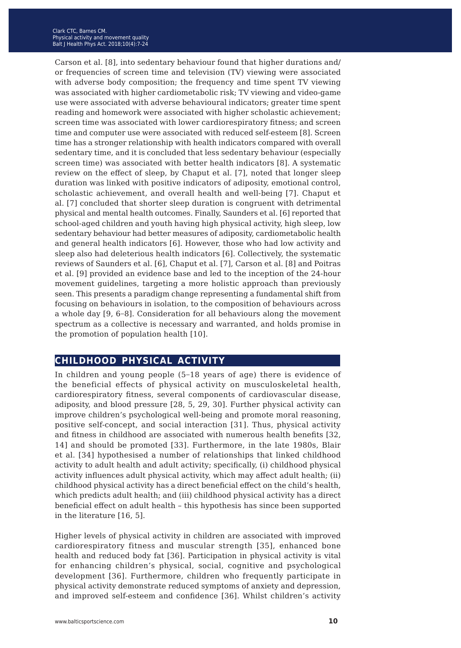Carson et al. [8], into sedentary behaviour found that higher durations and/ or frequencies of screen time and television (TV) viewing were associated with adverse body composition; the frequency and time spent TV viewing was associated with higher cardiometabolic risk; TV viewing and video-game use were associated with adverse behavioural indicators; greater time spent reading and homework were associated with higher scholastic achievement; screen time was associated with lower cardiorespiratory fitness; and screen time and computer use were associated with reduced self-esteem [8]. Screen time has a stronger relationship with health indicators compared with overall sedentary time, and it is concluded that less sedentary behaviour (especially screen time) was associated with better health indicators [8]. A systematic review on the effect of sleep, by Chaput et al. [7], noted that longer sleep duration was linked with positive indicators of adiposity, emotional control, scholastic achievement, and overall health and well-being [7]. Chaput et al. [7] concluded that shorter sleep duration is congruent with detrimental physical and mental health outcomes. Finally, Saunders et al. [6] reported that school-aged children and youth having high physical activity, high sleep, low sedentary behaviour had better measures of adiposity, cardiometabolic health and general health indicators [6]. However, those who had low activity and sleep also had deleterious health indicators [6]. Collectively, the systematic reviews of Saunders et al. [6], Chaput et al. [7], Carson et al. [8] and Poitras et al. [9] provided an evidence base and led to the inception of the 24-hour movement guidelines, targeting a more holistic approach than previously seen. This presents a paradigm change representing a fundamental shift from focusing on behaviours in isolation, to the composition of behaviours across a whole day [9, 6−8]. Consideration for all behaviours along the movement spectrum as a collective is necessary and warranted, and holds promise in the promotion of population health [10].

#### **childhood physical activity**

In children and young people (5−18 years of age) there is evidence of the beneficial effects of physical activity on musculoskeletal health, cardiorespiratory fitness, several components of cardiovascular disease, adiposity, and blood pressure [28, 5, 29, 30]. Further physical activity can improve children's psychological well-being and promote moral reasoning, positive self-concept, and social interaction [31]. Thus, physical activity and fitness in childhood are associated with numerous health benefits [32, 14] and should be promoted [33]. Furthermore, in the late 1980s, Blair et al. [34] hypothesised a number of relationships that linked childhood activity to adult health and adult activity; specifically, (i) childhood physical activity influences adult physical activity, which may affect adult health; (ii) childhood physical activity has a direct beneficial effect on the child's health, which predicts adult health; and (iii) childhood physical activity has a direct beneficial effect on adult health – this hypothesis has since been supported in the literature [16, 5].

Higher levels of physical activity in children are associated with improved cardiorespiratory fitness and muscular strength [35], enhanced bone health and reduced body fat [36]. Participation in physical activity is vital for enhancing children's physical, social, cognitive and psychological development [36]. Furthermore, children who frequently participate in physical activity demonstrate reduced symptoms of anxiety and depression, and improved self-esteem and confidence [36]. Whilst children's activity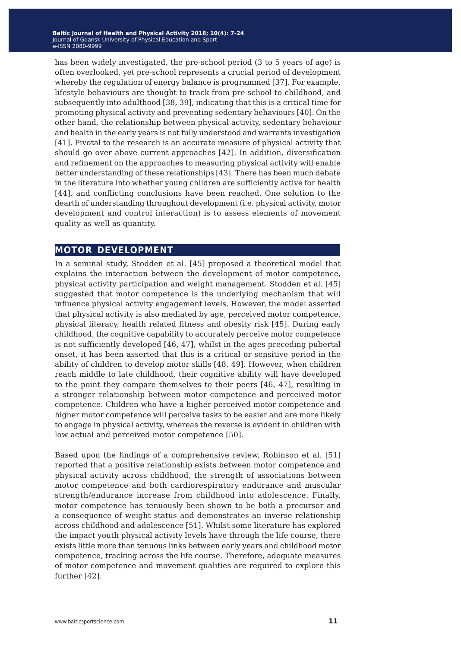has been widely investigated, the pre-school period (3 to 5 years of age) is often overlooked, yet pre-school represents a crucial period of development whereby the regulation of energy balance is programmed [37]. For example, lifestyle behaviours are thought to track from pre-school to childhood, and subsequently into adulthood [38, 39], indicating that this is a critical time for promoting physical activity and preventing sedentary behaviours [40]. On the other hand, the relationship between physical activity, sedentary behaviour and health in the early years is not fully understood and warrants investigation [41]. Pivotal to the research is an accurate measure of physical activity that should go over above current approaches [42]. In addition, diversification and refinement on the approaches to measuring physical activity will enable better understanding of these relationships [43]. There has been much debate in the literature into whether young children are sufficiently active for health [44], and conflicting conclusions have been reached. One solution to the dearth of understanding throughout development (i.e. physical activity, motor development and control interaction) is to assess elements of movement quality as well as quantity.

#### **motor development**

In a seminal study, Stodden et al. [45] proposed a theoretical model that explains the interaction between the development of motor competence, physical activity participation and weight management. Stodden et al. [45] suggested that motor competence is the underlying mechanism that will influence physical activity engagement levels. However, the model asserted that physical activity is also mediated by age, perceived motor competence, physical literacy, health related fitness and obesity risk [45]. During early childhood, the cognitive capability to accurately perceive motor competence is not sufficiently developed [46, 47], whilst in the ages preceding pubertal onset, it has been asserted that this is a critical or sensitive period in the ability of children to develop motor skills [48, 49]. However, when children reach middle to late childhood, their cognitive ability will have developed to the point they compare themselves to their peers [46, 47], resulting in a stronger relationship between motor competence and perceived motor competence. Children who have a higher perceived motor competence and higher motor competence will perceive tasks to be easier and are more likely to engage in physical activity, whereas the reverse is evident in children with low actual and perceived motor competence [50].

Based upon the findings of a comprehensive review, Robinson et al. [51] reported that a positive relationship exists between motor competence and physical activity across childhood, the strength of associations between motor competence and both cardiorespiratory endurance and muscular strength/endurance increase from childhood into adolescence. Finally, motor competence has tenuously been shown to be both a precursor and a consequence of weight status and demonstrates an inverse relationship across childhood and adolescence [51]. Whilst some literature has explored the impact youth physical activity levels have through the life course, there exists little more than tenuous links between early years and childhood motor competence, tracking across the life course. Therefore, adequate measures of motor competence and movement qualities are required to explore this further [42].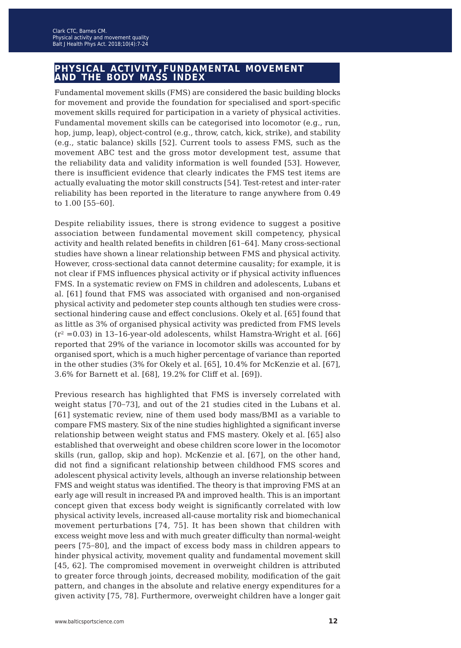#### **physical activity,fundamental movement and the body mass index**

Fundamental movement skills (FMS) are considered the basic building blocks for movement and provide the foundation for specialised and sport-specific movement skills required for participation in a variety of physical activities. Fundamental movement skills can be categorised into locomotor (e.g., run, hop, jump, leap), object-control (e.g., throw, catch, kick, strike), and stability (e.g., static balance) skills [52]. Current tools to assess FMS, such as the movement ABC test and the gross motor development test, assume that the reliability data and validity information is well founded [53]. However, there is insufficient evidence that clearly indicates the FMS test items are actually evaluating the motor skill constructs [54]. Test-retest and inter-rater reliability has been reported in the literature to range anywhere from 0.49 to 1.00 [55−60].

Despite reliability issues, there is strong evidence to suggest a positive association between fundamental movement skill competency, physical activity and health related benefits in children [61−64]. Many cross-sectional studies have shown a linear relationship between FMS and physical activity. However, cross-sectional data cannot determine causality; for example, it is not clear if FMS influences physical activity or if physical activity influences FMS. In a systematic review on FMS in children and adolescents, Lubans et al. [61] found that FMS was associated with organised and non-organised physical activity and pedometer step counts although ten studies were crosssectional hindering cause and effect conclusions. Okely et al. [65] found that as little as 3% of organised physical activity was predicted from FMS levels  $(r^2 = 0.03)$  in 13-16-year-old adolescents, whilst Hamstra-Wright et al. [66] reported that 29% of the variance in locomotor skills was accounted for by organised sport, which is a much higher percentage of variance than reported in the other studies (3% for Okely et al. [65], 10.4% for McKenzie et al. [67], 3.6% for Barnett et al. [68], 19.2% for Cliff et al. [69]).

Previous research has highlighted that FMS is inversely correlated with weight status [70−73], and out of the 21 studies cited in the Lubans et al. [61] systematic review, nine of them used body mass/BMI as a variable to compare FMS mastery. Six of the nine studies highlighted a significant inverse relationship between weight status and FMS mastery. Okely et al. [65] also established that overweight and obese children score lower in the locomotor skills (run, gallop, skip and hop). McKenzie et al. [67], on the other hand, did not find a significant relationship between childhood FMS scores and adolescent physical activity levels, although an inverse relationship between FMS and weight status was identified. The theory is that improving FMS at an early age will result in increased PA and improved health. This is an important concept given that excess body weight is significantly correlated with low physical activity levels, increased all-cause mortality risk and biomechanical movement perturbations [74, 75]. It has been shown that children with excess weight move less and with much greater difficulty than normal-weight peers [75−80], and the impact of excess body mass in children appears to hinder physical activity, movement quality and fundamental movement skill [45, 62]. The compromised movement in overweight children is attributed to greater force through joints, decreased mobility, modification of the gait pattern, and changes in the absolute and relative energy expenditures for a given activity [75, 78]. Furthermore, overweight children have a longer gait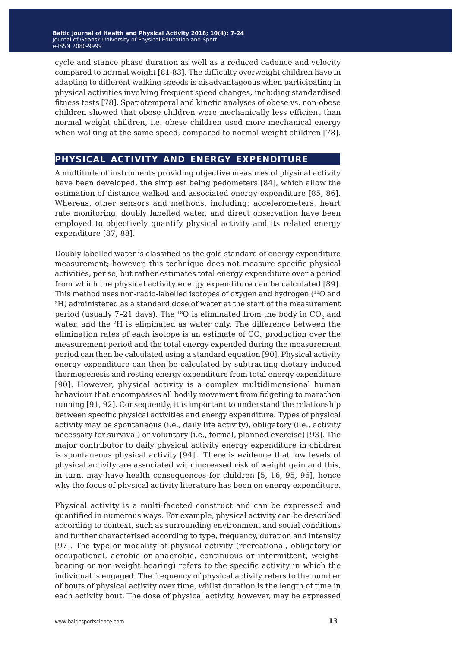cycle and stance phase duration as well as a reduced cadence and velocity compared to normal weight [81-83]. The difficulty overweight children have in adapting to different walking speeds is disadvantageous when participating in physical activities involving frequent speed changes, including standardised fitness tests [78]. Spatiotemporal and kinetic analyses of obese vs. non-obese children showed that obese children were mechanically less efficient than normal weight children, i.e. obese children used more mechanical energy when walking at the same speed, compared to normal weight children [78].

#### **physical activity and energy expenditure**

A multitude of instruments providing objective measures of physical activity have been developed, the simplest being pedometers [84], which allow the estimation of distance walked and associated energy expenditure [85, 86]. Whereas, other sensors and methods, including; accelerometers, heart rate monitoring, doubly labelled water, and direct observation have been employed to objectively quantify physical activity and its related energy expenditure [87, 88].

Doubly labelled water is classified as the gold standard of energy expenditure measurement; however, this technique does not measure specific physical activities, per se, but rather estimates total energy expenditure over a period from which the physical activity energy expenditure can be calculated [89]. This method uses non-radio-labelled isotopes of oxygen and hydrogen (18O and 2H) administered as a standard dose of water at the start of the measurement period (usually 7-21 days). The <sup>18</sup>O is eliminated from the body in  $CO<sub>2</sub>$  and water, and the 2H is eliminated as water only. The difference between the elimination rates of each isotope is an estimate of  $CO<sub>2</sub>$  production over the measurement period and the total energy expended during the measurement period can then be calculated using a standard equation [90]. Physical activity energy expenditure can then be calculated by subtracting dietary induced thermogenesis and resting energy expenditure from total energy expenditure [90]. However, physical activity is a complex multidimensional human behaviour that encompasses all bodily movement from fidgeting to marathon running [91, 92]. Consequently, it is important to understand the relationship between specific physical activities and energy expenditure. Types of physical activity may be spontaneous (i.e., daily life activity), obligatory (i.e., activity necessary for survival) or voluntary (i.e., formal, planned exercise) [93]. The major contributor to daily physical activity energy expenditure in children is spontaneous physical activity [94] . There is evidence that low levels of physical activity are associated with increased risk of weight gain and this, in turn, may have health consequences for children [5, 16, 95, 96], hence why the focus of physical activity literature has been on energy expenditure.

Physical activity is a multi-faceted construct and can be expressed and quantified in numerous ways. For example, physical activity can be described according to context, such as surrounding environment and social conditions and further characterised according to type, frequency, duration and intensity [97]. The type or modality of physical activity (recreational, obligatory or occupational, aerobic or anaerobic, continuous or intermittent, weightbearing or non-weight bearing) refers to the specific activity in which the individual is engaged. The frequency of physical activity refers to the number of bouts of physical activity over time, whilst duration is the length of time in each activity bout. The dose of physical activity, however, may be expressed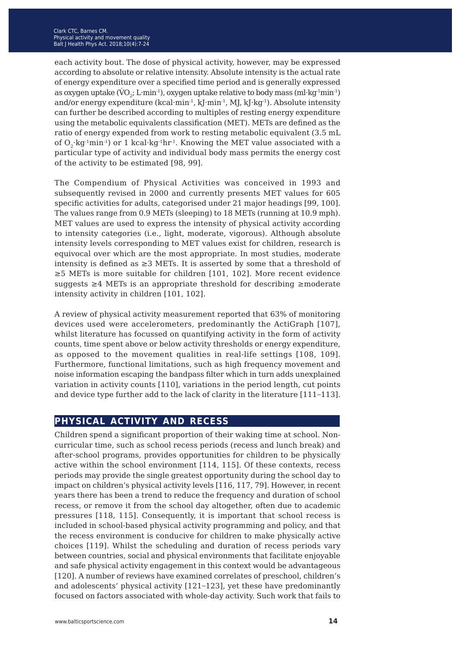each activity bout. The dose of physical activity, however, may be expressed according to absolute or relative intensity. Absolute intensity is the actual rate of energy expenditure over a specified time period and is generally expressed as oxygen uptake (VO<sub>2</sub>; L·min<sup>-1</sup>), oxygen uptake relative to body mass (ml·kg<sup>-1</sup>min<sup>-1</sup>) and/or energy expenditure (kcal·min<sup>-1</sup>, kJ·min<sup>-1</sup>, MJ, kJ·kg<sup>-1</sup>). Absolute intensity can further be described according to multiples of resting energy expenditure using the metabolic equivalents classification (MET). METs are defined as the ratio of energy expended from work to resting metabolic equivalent (3.5 mL of  $O_2$ ·kg<sup>-1</sup>min<sup>-1</sup>) or 1 kcal·kg<sup>-1</sup>hr<sup>-1</sup>. Knowing the MET value associated with a particular type of activity and individual body mass permits the energy cost of the activity to be estimated [98, 99].

The Compendium of Physical Activities was conceived in 1993 and subsequently revised in 2000 and currently presents MET values for 605 specific activities for adults, categorised under 21 major headings [99, 100]. The values range from 0.9 METs (sleeping) to 18 METs (running at 10.9 mph). MET values are used to express the intensity of physical activity according to intensity categories (i.e., light, moderate, vigorous). Although absolute intensity levels corresponding to MET values exist for children, research is equivocal over which are the most appropriate. In most studies, moderate intensity is defined as  $\geq 3$  METs. It is asserted by some that a threshold of ≥5 METs is more suitable for children [101, 102]. More recent evidence suggests ≥4 METs is an appropriate threshold for describing ≥moderate intensity activity in children [101, 102].

A review of physical activity measurement reported that 63% of monitoring devices used were accelerometers, predominantly the ActiGraph [107], whilst literature has focussed on quantifying activity in the form of activity counts, time spent above or below activity thresholds or energy expenditure, as opposed to the movement qualities in real-life settings [108, 109]. Furthermore, functional limitations, such as high frequency movement and noise information escaping the bandpass filter which in turn adds unexplained variation in activity counts [110], variations in the period length, cut points and device type further add to the lack of clarity in the literature [111−113].

### **physical activity and recess**

Children spend a significant proportion of their waking time at school. Noncurricular time, such as school recess periods (recess and lunch break) and after-school programs, provides opportunities for children to be physically active within the school environment [114, 115]. Of these contexts, recess periods may provide the single greatest opportunity during the school day to impact on children's physical activity levels [116, 117, 79]. However, in recent years there has been a trend to reduce the frequency and duration of school recess, or remove it from the school day altogether, often due to academic pressures [118, 115]. Consequently, it is important that school recess is included in school-based physical activity programming and policy, and that the recess environment is conducive for children to make physically active choices [119]. Whilst the scheduling and duration of recess periods vary between countries, social and physical environments that facilitate enjoyable and safe physical activity engagement in this context would be advantageous [120]. A number of reviews have examined correlates of preschool, children's and adolescents' physical activity [121−123], yet these have predominantly focused on factors associated with whole-day activity. Such work that fails to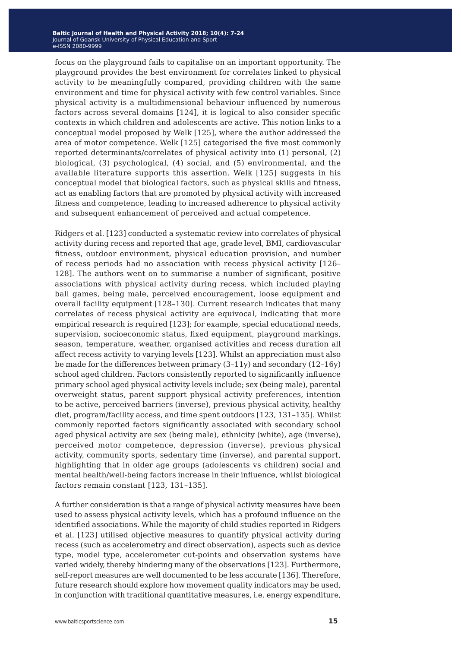focus on the playground fails to capitalise on an important opportunity. The playground provides the best environment for correlates linked to physical activity to be meaningfully compared, providing children with the same environment and time for physical activity with few control variables. Since physical activity is a multidimensional behaviour influenced by numerous factors across several domains [124], it is logical to also consider specific contexts in which children and adolescents are active. This notion links to a conceptual model proposed by Welk [125], where the author addressed the area of motor competence. Welk [125] categorised the five most commonly reported determinants/correlates of physical activity into (1) personal, (2) biological, (3) psychological, (4) social, and (5) environmental, and the available literature supports this assertion. Welk [125] suggests in his conceptual model that biological factors, such as physical skills and fitness, act as enabling factors that are promoted by physical activity with increased fitness and competence, leading to increased adherence to physical activity and subsequent enhancement of perceived and actual competence.

Ridgers et al. [123] conducted a systematic review into correlates of physical activity during recess and reported that age, grade level, BMI, cardiovascular fitness, outdoor environment, physical education provision, and number of recess periods had no association with recess physical activity [126– 128]. The authors went on to summarise a number of significant, positive associations with physical activity during recess, which included playing ball games, being male, perceived encouragement, loose equipment and overall facility equipment [128–130]. Current research indicates that many correlates of recess physical activity are equivocal, indicating that more empirical research is required [123]; for example, special educational needs, supervision, socioeconomic status, fixed equipment, playground markings, season, temperature, weather, organised activities and recess duration all affect recess activity to varying levels [123]. Whilst an appreciation must also be made for the differences between primary (3–11y) and secondary (12–16y) school aged children. Factors consistently reported to significantly influence primary school aged physical activity levels include; sex (being male), parental overweight status, parent support physical activity preferences, intention to be active, perceived barriers (inverse), previous physical activity, healthy diet, program/facility access, and time spent outdoors [123, 131–135]. Whilst commonly reported factors significantly associated with secondary school aged physical activity are sex (being male), ethnicity (white), age (inverse), perceived motor competence, depression (inverse), previous physical activity, community sports, sedentary time (inverse), and parental support, highlighting that in older age groups (adolescents vs children) social and mental health/well-being factors increase in their influence, whilst biological factors remain constant [123, 131–135].

A further consideration is that a range of physical activity measures have been used to assess physical activity levels, which has a profound influence on the identified associations. While the majority of child studies reported in Ridgers et al. [123] utilised objective measures to quantify physical activity during recess (such as accelerometry and direct observation), aspects such as device type, model type, accelerometer cut-points and observation systems have varied widely, thereby hindering many of the observations [123]. Furthermore, self-report measures are well documented to be less accurate [136]. Therefore, future research should explore how movement quality indicators may be used, in conjunction with traditional quantitative measures, i.e. energy expenditure,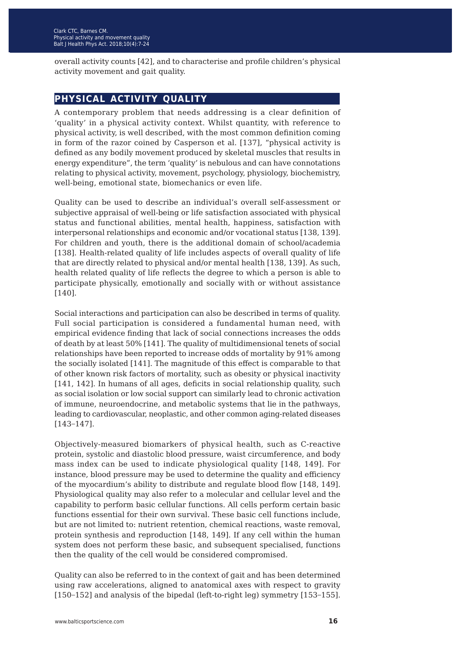overall activity counts [42], and to characterise and profile children's physical activity movement and gait quality.

#### **physical activity quality**

A contemporary problem that needs addressing is a clear definition of 'quality' in a physical activity context. Whilst quantity, with reference to physical activity, is well described, with the most common definition coming in form of the razor coined by Casperson et al. [137], "physical activity is defined as any bodily movement produced by skeletal muscles that results in energy expenditure", the term 'quality' is nebulous and can have connotations relating to physical activity, movement, psychology, physiology, biochemistry, well-being, emotional state, biomechanics or even life.

Quality can be used to describe an individual's overall self-assessment or subjective appraisal of well-being or life satisfaction associated with physical status and functional abilities, mental health, happiness, satisfaction with interpersonal relationships and economic and/or vocational status [138, 139]. For children and youth, there is the additional domain of school/academia [138]. Health-related quality of life includes aspects of overall quality of life that are directly related to physical and/or mental health [138, 139]. As such, health related quality of life reflects the degree to which a person is able to participate physically, emotionally and socially with or without assistance [140].

Social interactions and participation can also be described in terms of quality. Full social participation is considered a fundamental human need, with empirical evidence finding that lack of social connections increases the odds of death by at least 50% [141]. The quality of multidimensional tenets of social relationships have been reported to increase odds of mortality by 91% among the socially isolated [141]. The magnitude of this effect is comparable to that of other known risk factors of mortality, such as obesity or physical inactivity [141, 142]. In humans of all ages, deficits in social relationship quality, such as social isolation or low social support can similarly lead to chronic activation of immune, neuroendocrine, and metabolic systems that lie in the pathways, leading to cardiovascular, neoplastic, and other common aging-related diseases [143−147].

Objectively-measured biomarkers of physical health, such as C-reactive protein, systolic and diastolic blood pressure, waist circumference, and body mass index can be used to indicate physiological quality [148, 149]. For instance, blood pressure may be used to determine the quality and efficiency of the myocardium's ability to distribute and regulate blood flow [148, 149]. Physiological quality may also refer to a molecular and cellular level and the capability to perform basic cellular functions. All cells perform certain basic functions essential for their own survival. These basic cell functions include, but are not limited to: nutrient retention, chemical reactions, waste removal, protein synthesis and reproduction [148, 149]. If any cell within the human system does not perform these basic, and subsequent specialised, functions then the quality of the cell would be considered compromised.

Quality can also be referred to in the context of gait and has been determined using raw accelerations, aligned to anatomical axes with respect to gravity [150−152] and analysis of the bipedal (left-to-right leg) symmetry [153−155].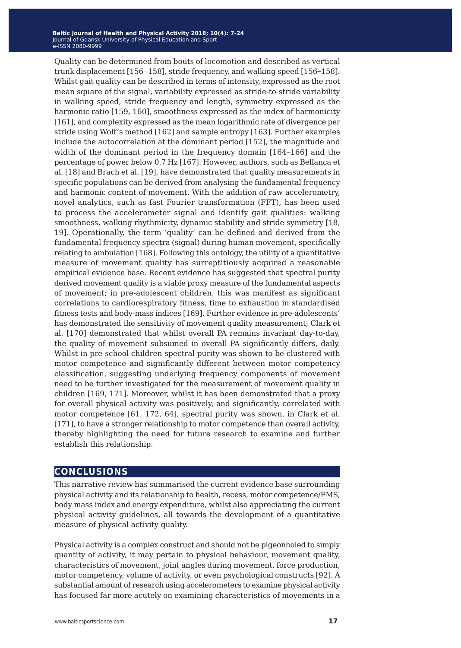Quality can be determined from bouts of locomotion and described as vertical trunk displacement [156–158], stride frequency, and walking speed [156–158]. Whilst gait quality can be described in terms of intensity, expressed as the root mean square of the signal, variability expressed as stride-to-stride variability in walking speed, stride frequency and length, symmetry expressed as the harmonic ratio [159, 160], smoothness expressed as the index of harmonicity [161], and complexity expressed as the mean logarithmic rate of divergence per stride using Wolf's method [162] and sample entropy [163]. Further examples include the autocorrelation at the dominant period [152], the magnitude and width of the dominant period in the frequency domain [164−166] and the percentage of power below 0.7 Hz [167]. However, authors, such as Bellanca et al. [18] and Brach et al. [19], have demonstrated that quality measurements in specific populations can be derived from analysing the fundamental frequency and harmonic content of movement. With the addition of raw accelerometry, novel analytics, such as fast Fourier transformation (FFT), has been used to process the accelerometer signal and identify gait qualities: walking smoothness, walking rhythmicity, dynamic stability and stride symmetry [18, 19]. Operationally, the term 'quality' can be defined and derived from the fundamental frequency spectra (signal) during human movement, specifically relating to ambulation [168]. Following this ontology, the utility of a quantitative measure of movement quality has surreptitiously acquired a reasonable empirical evidence base. Recent evidence has suggested that spectral purity derived movement quality is a viable proxy measure of the fundamental aspects of movement; in pre-adolescent children, this was manifest as significant correlations to cardiorespiratory fitness, time to exhaustion in standardised fitness tests and body-mass indices [169]. Further evidence in pre-adolescents' has demonstrated the sensitivity of movement quality measurement; Clark et al. [170] demonstrated that whilst overall PA remains invariant day-to-day, the quality of movement subsumed in overall PA significantly differs, daily. Whilst in pre-school children spectral purity was shown to be clustered with motor competence and significantly different between motor competency classification, suggesting underlying frequency components of movement need to be further investigated for the measurement of movement quality in children [169, 171]. Moreover, whilst it has been demonstrated that a proxy for overall physical activity was positively, and significantly, correlated with motor competence [61, 172, 64], spectral purity was shown, in Clark et al. [171], to have a stronger relationship to motor competence than overall activity, thereby highlighting the need for future research to examine and further establish this relationship.

#### **conclusions**

This narrative review has summarised the current evidence base surrounding physical activity and its relationship to health, recess, motor competence/FMS, body mass index and energy expenditure, whilst also appreciating the current physical activity guidelines, all towards the development of a quantitative measure of physical activity quality.

Physical activity is a complex construct and should not be pigeonholed to simply quantity of activity, it may pertain to physical behaviour, movement quality, characteristics of movement, joint angles during movement, force production, motor competency, volume of activity, or even psychological constructs [92]. A substantial amount of research using accelerometers to examine physical activity has focused far more acutely on examining characteristics of movements in a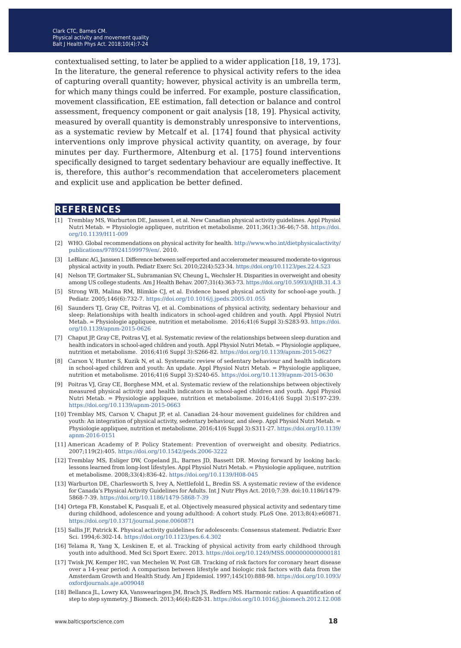contextualised setting, to later be applied to a wider application [18, 19, 173]. In the literature, the general reference to physical activity refers to the idea of capturing overall quantity; however, physical activity is an umbrella term, for which many things could be inferred. For example, posture classification, movement classification, EE estimation, fall detection or balance and control assessment, frequency component or gait analysis [18, 19]. Physical activity, measured by overall quantity is demonstrably unresponsive to interventions, as a systematic review by Metcalf et al. [174] found that physical activity interventions only improve physical activity quantity, on average, by four minutes per day. Furthermore, Altenburg et al. [175] found interventions specifically designed to target sedentary behaviour are equally ineffective. It is, therefore, this author's recommendation that accelerometers placement and explicit use and application be better defined.

#### **references**

- [1] Tremblay MS, Warburton DE, Janssen I, et al. New Canadian physical activity guidelines. Appl Physiol Nutri Metab. = Physiologie appliquee, nutrition et metabolisme. 2011;36(1):36-46;7-58. [https://doi.](https://doi.org/10.1139/H11-009) [org/10.1139/H11-009](https://doi.org/10.1139/H11-009)
- [2] WHO. Global recommendations on physical activity for health. [http://www.who.int/dietphysicalactivity/](http://www.who.int/dietphysicalactivity/publications/9789241599979/en/) [publications/9789241599979/en/](http://www.who.int/dietphysicalactivity/publications/9789241599979/en/). 2010.
- [3] LeBlanc AG, Janssen I. Difference between self-reported and accelerometer measured moderate-to-vigorous physical activity in youth. Pediatr Exerc Sci. 2010;22(4):523-34. [https://doi.org/10.1123/pes.22.4.523](http://doi.org/10.1123/pes.22.4.523)
- [4] Nelson TF, Gortmaker SL, Subramanian SV, Cheung L, Wechsler H. Disparities in overweight and obesity among US college students. Am J Health Behav. 2007;31(4):363-73. [https://doi.org/10.5993/AJHB.31.4.3](http://doi.org/10.5993/AJHB.31.4.3
)
- [5] Strong WB, Malina RM, Blimkie CJ, et al. Evidence based physical activity for school-age youth. J Pediatr. 2005;146(6):732-7. [https://doi.org/10.1016/j.jpeds.2005.01.055](http://doi.org/10.1016/j.jpeds.2005.01.055)
- [6] Saunders TJ, Gray CE, Poitras VJ, et al. Combinations of physical activity, sedentary behaviour and sleep: Relationships with health indicators in school-aged children and youth. Appl Physiol Nutri Metab. = Physiologie appliquee, nutrition et metabolisme. 2016;41(6 Suppl 3):S283-93. [https://doi.](http://doi.org/10.1139/apnm-2015-0626
) [org/10.1139/apnm-2015-0626](http://doi.org/10.1139/apnm-2015-0626
)
- [7] Chaput JP, Gray CE, Poitras VJ, et al. Systematic review of the relationships between sleep duration and health indicators in school-aged children and youth. Appl Physiol Nutri Metab. = Physiologie appliquee, nutrition et metabolisme. 2016;41(6 Suppl 3):S266-82. [https://doi.org/10.1139/apnm-2015-0627](http://doi.org/10.1139/apnm-2015-0627)
- [8] Carson V, Hunter S, Kuzik N, et al. Systematic review of sedentary behaviour and health indicators in school-aged children and youth: An update. Appl Physiol Nutri Metab. = Physiologie appliquee, nutrition et metabolisme. 2016;41(6 Suppl 3):S240-65. [https://doi.org/10.1139/apnm-2015-0630](http://doi.org/10.1139/apnm-2015-0630)
- [9] Poitras VJ, Gray CE, Borghese MM, et al. Systematic review of the relationships between objectively measured physical activity and health indicators in school-aged children and youth. Appl Physiol Nutri Metab. = Physiologie appliquee, nutrition et metabolisme. 2016;41(6 Suppl 3):S197-239. [https://doi.org/10.1139/apnm-2015-0663](http://doi.org/10.1139/apnm-2015-0663)
- [10] Tremblay MS, Carson V, Chaput JP, et al. Canadian 24-hour movement guidelines for children and youth: An integration of physical activity, sedentary behaviour, and sleep. Appl Physiol Nutri Metab. = Physiologie appliquee, nutrition et metabolisme. 2016;41(6 Suppl 3):S311-27. [https://doi.org/10.1139/](http://doi.org/10.1139/apnm-2016-0151
) [apnm-2016-0151](http://doi.org/10.1139/apnm-2016-0151
)
- [11] American Academy of P. Policy Statement: Prevention of overweight and obesity. Pediatrics. 2007;119(2):405. [https://doi.org/10.1542/peds.2006-3222](http://doi.org/10.1542/peds.2006-3222)
- [12] Tremblay MS, Esliger DW, Copeland JL, Barnes JD, Bassett DR. Moving forward by looking back: lessons learned from long-lost lifestyles. Appl Physiol Nutri Metab. = Physiologie appliquee, nutrition et metabolisme. 2008;33(4):836-42. [https://doi.org/10.1139/H08-045](http://doi.org/10.1139/H08-045)
- [13] Warburton DE, Charlesworth S, Ivey A, Nettlefold L, Bredin SS. A systematic review of the evidence for Canada's Physical Activity Guidelines for Adults. Int J Nutr Phys Act. 2010;7:39. doi:10.1186/1479- 5868-7-39. [https://doi.org/10.1186/1479-5868-7-39](http://doi.org/10.1186/1479-5868-7-39)
- [14] Ortega FB, Konstabel K, Pasquali E, et al. Objectively measured physical activity and sedentary time during childhood, adolescence and young adulthood: A cohort study. PLoS One. 2013;8(4):e60871. [https://doi.org/10.1371/journal.pone.0060871](http://doi.org/10.1371/journal.pone.0060871)
- [15] Sallis JF, Patrick K. Physical activity guidelines for adolescents: Consensus statement. Pediatric Exer Sci. 1994;6:302-14. [https://doi.org/10.1123/pes.6.4.302](http://doi.org/10.1123/pes.6.4.302)
- [16] Telama R, Yang X, Leskinen E, et al. Tracking of physical activity from early childhood through youth into adulthood. Med Sci Sport Exerc. 2013. [https://doi.org/10.1249/MSS.0000000000000181](http://doi.org/10.1249/MSS.0000000000000181
)
- [17] Twisk JW, Kemper HC, van Mechelen W, Post GB. Tracking of risk factors for coronary heart disease over a 14-year period: A comparison between lifestyle and biologic risk factors with data from the Amsterdam Growth and Health Study. Am J Epidemiol. 1997;145(10):888-98. [https://doi.org/10.1093/](http://doi.org/10.1093/oxfordjournals.aje.a009048
) [oxfordjournals.aje.a009048](http://doi.org/10.1093/oxfordjournals.aje.a009048
)
- [18] Bellanca JL, Lowry KA, Vanswearingen JM, Brach JS, Redfern MS. Harmonic ratios: A quantification of step to step symmetry. J Biomech. 2013;46(4):828-31. [https://doi.org/10.1016/j.jbiomech.2012.12.008](http://doi.org/10.1016/j.jbiomech.2012.12.008)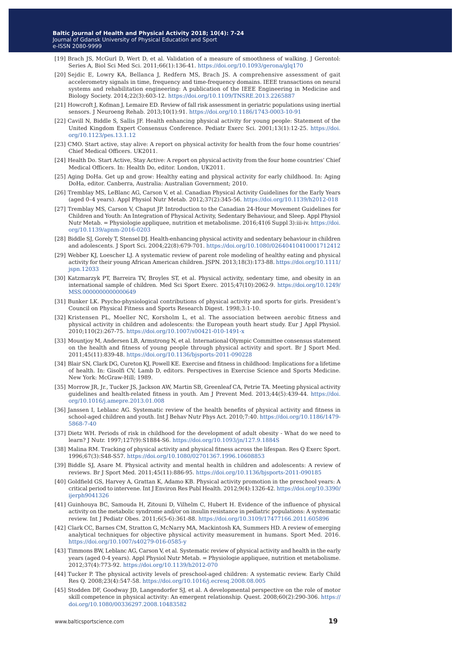- [19] Brach JS, McGurl D, Wert D, et al. Validation of a measure of smoothness of walking. J Gerontol: Series A, Biol Sci Med Sci. 2011;66(1):136-41. [https://doi.org/10.1093/gerona/glq170](http://doi.org/10.1093/gerona/glq170)
- [20] Sejdic E, Lowry KA, Bellanca J, Redfern MS, Brach JS. A comprehensive assessment of gait accelerometry signals in time, frequency and time-frequency domains. IEEE transactions on neural systems and rehabilitation engineering: A publication of the IEEE Engineering in Medicine and Biology Society. 2014;22(3):603-12. [https://doi.org/10.1109/TNSRE.2013.2265887](http://doi.org/10.1109/TNSRE.2013.2265887)
- [21] Howcroft J, Kofman J, Lemaire ED. Review of fall risk assessment in geriatric populations using inertial sensors. J Neuroeng Rehab. 2013;10(1):91. [https://doi.org/10.1186/1743-0003-10-91](http://doi.org/10.1186/1743-0003-10-91)
- [22] Cavill N, Biddle S, Sallis JF. Health enhancing physical activity for young people: Statement of the United Kingdom Expert Consensus Conference. Pediatr Exerc Sci. 2001;13(1):12-25. [https://doi.](http://doi.org/10.1123/pes.13.1.12
) [org/10.1123/pes.13.1.12](http://doi.org/10.1123/pes.13.1.12
)
- [23] CMO. Start active, stay alive: A report on physical activity for health from the four home countries' Chief Medical Officers. UK2011.
- [24] Health Do. Start Active, Stay Active: A report on physical activity from the four home countries' Chief Medical Officers. In: Health Do, editor. London, UK2011.
- [25] Aging DoHa. Get up and grow: Healthy eating and physical activity for early childhood. In: Aging DoHa, editor. Canberra, Australia: Australian Government; 2010.
- [26] Tremblay MS, LeBlanc AG, Carson V, et al. Canadian Physical Activity Guidelines for the Early Years (aged 0–4 years). Appl Physiol Nutr Metab. 2012;37(2):345-56. [https://doi.org/10.1139/h2012-018](http://doi.org/10.1139/h2012-018)
- [27] Tremblay MS, Carson V, Chaput JP. Introduction to the Canadian 24-Hour Movement Guidelines for Children and Youth: An Integration of Physical Activity, Sedentary Behaviour, and Sleep. Appl Physiol Nutr Metab. = Physiologie appliquee, nutrition et metabolisme. 2016;41(6 Suppl 3):iii-iv. [https://doi.](http://doi.org/10.1139/apnm-2016-0203
) [org/10.1139/apnm-2016-0203](http://doi.org/10.1139/apnm-2016-0203
)
- [28] Biddle SJ, Gorely T, Stensel DJ. Health-enhancing physical activity and sedentary behaviour in children and adolescents. J Sport Sci. 2004;22(8):679-701. [https://doi.org/10.1080/02640410410001712412](http://doi.org/10.1080/02640410410001712412)
- [29] Webber KJ, Loescher LJ. A systematic review of parent role modeling of healthy eating and physical activity for their young African American children. JSPN. 2013;18(3):173-88. [https://doi.org/10.1111/](http://doi.org/10.1111/jspn.12033
) [jspn.12033](http://doi.org/10.1111/jspn.12033
)
- [30] Katzmarzyk PT, Barreira TV, Broyles ST, et al. Physical activity, sedentary time, and obesity in an international sample of children. Med Sci Sport Exerc. 2015;47(10):2062-9. [https://doi.org/10.1249/](http://doi.org/10.1249/MSS.0000000000000649
) [MSS.0000000000000649](http://doi.org/10.1249/MSS.0000000000000649
)
- [31] Bunker LK. Psycho-physiological contributions of physical activity and sports for girls. President's Council on Physical Fitness and Sports Research Digest. 1998;3:1-10.
- [32] Kristensen PL, Moeller NC, Korsholm L, et al. The association between aerobic fitness and physical activity in children and adolescents: the European youth heart study. Eur J Appl Physiol. 2010;110(2):267-75. [https://doi.org/10.1007/s00421-010-1491-x](http://doi.org/10.1007/s00421-010-1491-x)
- [33] Mountjoy M, Andersen LB, Armstrong N, et al. International Olympic Committee consensus statement on the health and fitness of young people through physical activity and sport. Br J Sport Med. 2011;45(11):839-48. [https://doi.org/10.1136/bjsports-2011-090228](http://doi.org/10.1136/bjsports-2011-090228)
- [34] Blair SN, Clark DG, Cureton KJ, Powell KE. Exercise and fitness in childhood: Implications for a lifetime of health. In: Gisolfi CV, Lamb D, editors. Perspectives in Exercise Science and Sports Medicine. New York: McGraw-Hill; 1989.
- [35] Morrow JR, Jr., Tucker JS, Jackson AW, Martin SB, Greenleaf CA, Petrie TA. Meeting physical activity guidelines and health-related fitness in youth. Am J Prevent Med. 2013;44(5):439-44. [https://doi.](http://doi.org/10.1016/j.amepre.2013.01.008
) [org/10.1016/j.amepre.2013.01.008](http://doi.org/10.1016/j.amepre.2013.01.008
)
- [36] Janssen I, Leblanc AG. Systematic review of the health benefits of physical activity and fitness in school-aged children and youth. Int J Behav Nutr Phys Act. 2010;7:40. [https://doi.org/10.1186/1479-](http://doi.org/10.1186/1479-5868-7-40) [5868-7-40](http://doi.org/10.1186/1479-5868-7-40)
- [37] Dietz WH. Periods of risk in childhood for the development of adult obesity What do we need to learn? J Nutr. 1997;127(9):S1884-S6. [https://doi.org/10.1093/jn/127.9.1884S](http://doi.org/10.1093/jn/127.9.1884S)
- [38] Malina RM. Tracking of physical activity and physical fitness across the lifespan. Res Q Exerc Sport. 1996;67(3):S48-S57. [https://doi.org/10.1080/02701367.1996.10608853](http://doi.org/10.1080/02701367.1996.10608853)
- [39] Biddle SJ, Asare M. Physical activity and mental health in children and adolescents: A review of reviews. Br J Sport Med. 2011;45(11):886-95. [https://doi.org/10.1136/bjsports-2011-090185](http://doi.org/10.1136/bjsports-2011-090185)
- [40] Goldfield GS, Harvey A, Grattan K, Adamo KB. Physical activity promotion in the preschool years: A critical period to intervene. Int J Environ Res Publ Health. 2012;9(4):1326-42. [https://doi.org/10.3390/](http://doi.org/10.3390/ijerph9041326) [ijerph9041326](http://doi.org/10.3390/ijerph9041326)
- [41] Guinhouya BC, Samouda H, Zitouni D, Vilhelm C, Hubert H. Evidence of the influence of physical activity on the metabolic syndrome and/or on insulin resistance in pediatric populations: A systematic review. Int J Pediatr Obes. 2011;6(5-6):361-88. [https://doi.org/10.3109/17477166.2011.605896](http://doi.org/10.3109/17477166.2011.605896)
- [42] Clark CC, Barnes CM, Stratton G, McNarry MA, Mackintosh KA, Summers HD. A review of emerging analytical techniques for objective physical activity measurement in humans. Sport Med. 2016. [https://doi.org/10.1007/s40279-016-0585-y](http://doi.org/10.1007/s40279-016-0585-y)
- [43] Timmons BW, Leblanc AG, Carson V, et al. Systematic review of physical activity and health in the early years (aged 0-4 years). Appl Physiol Nutr Metab. = Physiologie appliquee, nutrition et metabolisme. 2012;37(4):773-92. [https://doi.org/10.1139/h2012-070](http://doi.org/10.1139/h2012-070)
- [44] Tucker P. The physical activity levels of preschool-aged children: A systematic review. Early Child Res Q. 2008;23(4):547-58. [https://doi.org/10.1016/j.ecresq.2008.08.005](http://doi.org/10.1016/j.ecresq.2008.08.005)
- [45] Stodden DF, Goodway JD, Langendorfer SJ, et al. A developmental perspective on the role of motor skill competence in physical activity: An emergent relationship. Quest. 2008;60(2):290-306. [https://](http://doi.org/10.1080/00336297.2008.10483582) [doi.org/10.1080/00336297.2008.10483582](http://doi.org/10.1080/00336297.2008.10483582)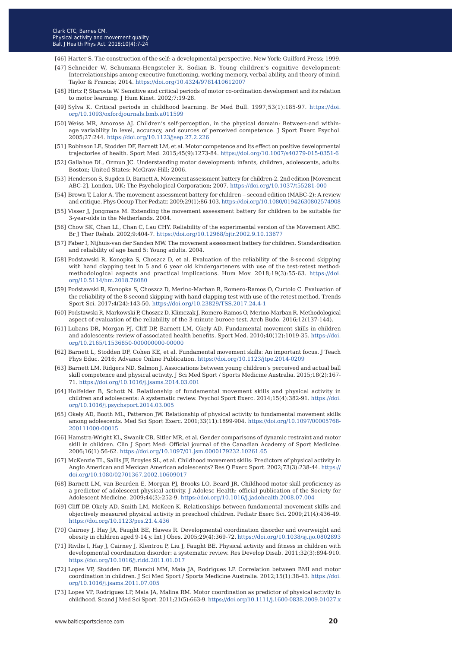- [46] Harter S. The construction of the self: a developmental perspective. New York: Guilford Press; 1999.
- [47] Schneider W, Schumann-Hengsteler R, Sodian B. Young children's cognitive development: Interrelationships among executive functioning, working memory, verbal ability, and theory of mind. Taylor & Francis; 2014. [https://doi.org/10.4324/9781410612007](http://doi.org/10.4324/9781410612007)
- [48] Hirtz P, Starosta W. Sensitive and critical periods of motor co-ordination development and its relation to motor learning. J Hum Kinet. 2002;7:19-28.
- [49] Sylva K. Critical periods in childhood learning. Br Med Bull. 1997;53(1):185-97. [https://doi.](http://doi.org/10.1093/oxfordjournals.bmb.a011599
) [org/10.1093/oxfordjournals.bmb.a011599](http://doi.org/10.1093/oxfordjournals.bmb.a011599
)
- [50] Weiss MR, Amorose AJ. Children's self-perception, in the physical domain: Between-and withinage variability in level, accuracy, and sources of perceived competence. J Sport Exerc Psychol. 2005;27:244. [https://doi.org/10.1123/jsep.27.2.226](http://doi.org/10.1123/jsep.27.2.226)
- [51] Robinson LE, Stodden DF, Barnett LM, et al. Motor competence and its effect on positive developmental trajectories of health. Sport Med. 2015;45(9):1273-84. [https://doi.org/10.1007/s40279-015-0351-6](http://doi.org/10.1007/s40279-015-0351-6)
- [52] Gallahue DL, Ozmun JC. Understanding motor development: infants, children, adolescents, adults. Boston; United States: McGraw-Hill; 2006.
- [53] Henderson S, Sugden D, Barnett A. Movement assessment battery for children-2. 2nd edition [Movement ABC-2]. London, UK: The Psychological Corporation; 2007. [https://doi.org/10.1037/t55281-000](http://doi.org/10.1037/t55281-000)
- [54] Brown T, Lalor A. The movement assessment battery for children second edition (MABC-2): A review and critique. Phys Occup Ther Pediatr. 2009;29(1):86-103. [https://doi.org/10.1080/01942630802574908](http://doi.org/10.1080/01942630802574908
)
- [55] Visser J, Jongmans M. Extending the movement assessment battery for children to be suitable for 3-year-olds in the Netherlands. 2004.
- [56] Chow SK, Chan LL, Chan C, Lau CHY. Reliability of the experimental version of the Movement ABC. Br J Ther Rehab. 2002;9:404-7. [https://doi.org/10.12968/bjtr.2002.9.10.13677](http://doi.org/10.12968/bjtr.2002.9.10.13677)
- [57] Faber I, Nijhuis-van der Sanden MW. The movement assessment battery for children. Standardisation and reliability of age band 5: Young adults. 2004.
- [58] Podstawski R, Konopka S, Choszcz D, et al. Evaluation of the reliability of the 8-second skipping with hand clapping test in 5 and 6 year old kindergarteners with use of the test-retest method: methodological aspects and practical implications. Hum Mov. 2018;19(3):55-63. [https://doi.](http://doi.org/10.5114/hm.2018.76080
) [org/10.5114/hm.2018.76080](http://doi.org/10.5114/hm.2018.76080
)
- [59] Podstawski R, Konopka S, Choszcz D, Merino-Marban R, Romero-Ramos O, Curtolo C. Evaluation of the reliability of the 8-second skipping with hand clapping test with use of the retest method. Trends Sport Sci. 2017;4(24):143-50. <https://doi.org/10.23829/TSS.2017.24.4-1>
- [60] Podstawski R, Markowski P, Choszcz D, Klimczak J, Romero-Ramos O, Merino-Marban R. Methodological aspect of evaluation of the reliability of the 3-minute buroee test. Arch Budo. 2016;12(137-144).
- [61] Lubans DR, Morgan PJ, Cliff DP, Barnett LM, Okely AD. Fundamental movement skills in children and adolescents: review of associated health benefits. Sport Med. 2010;40(12):1019-35. [https://doi.](http://doi.org/10.2165/11536850-000000000-00000) [org/10.2165/11536850-000000000-00000](http://doi.org/10.2165/11536850-000000000-00000)
- [62] Barnett L, Stodden DF, Cohen KE, et al. Fundamental movement skills: An important focus. J Teach Phys Educ. 2016; Advance Online Publication. [https://doi.org/10.1123/jtpe.2014-0209](http://doi.org/10.1123/jtpe.2014-0209)
- [63] Barnett LM, Ridgers ND, Salmon J. Associations between young children's perceived and actual ball skill competence and physical activity. J Sci Med Sport / Sports Medicine Australia. 2015;18(2):167- 71. [https://doi.org/10.1016/j.jsams.2014.03.001](http://doi.org/10.1016/j.jsams.2014.03.001)
- [64] Holfelder B, Schott N. Relationship of fundamental movement skills and physical activity in children and adolescents: A systematic review. Psychol Sport Exerc. 2014;15(4):382-91. [https://doi.](http://doi.org/10.1016/j.psychsport.2014.03.005
) [org/10.1016/j.psychsport.2014.03.005](http://doi.org/10.1016/j.psychsport.2014.03.005
)
- [65] Okely AD, Booth ML, Patterson JW. Relationship of physical activity to fundamental movement skills among adolescents. Med Sci Sport Exerc. 2001;33(11):1899-904. [https://doi.org/10.1097/00005768-](http://doi.org/10.1097/00005768-200111000-00015
) [200111000-00015](http://doi.org/10.1097/00005768-200111000-00015
)
- [66] Hamstra-Wright KL, Swanik CB, Sitler MR, et al. Gender comparisons of dynamic restraint and motor skill in children. Clin J Sport Med: Official journal of the Canadian Academy of Sport Medicine. 2006;16(1):56-62. [https://doi.org/10.1097/01.jsm.0000179232.10261.65](http://doi.org/10.1097/01.jsm.0000179232.10261.65)
- [67] McKenzie TL, Sallis JF, Broyles SL, et al. Childhood movement skills: Predictors of physical activity in Anglo American and Mexican American adolescents? Res Q Exerc Sport. 2002;73(3):238-44. [https://](http://doi.org/10.1080/02701367.2002.10609017) [doi.org/10.1080/02701367.2002.10609017](http://doi.org/10.1080/02701367.2002.10609017)
- [68] Barnett LM, van Beurden E, Morgan PJ, Brooks LO, Beard JR. Childhood motor skill proficiency as a predictor of adolescent physical activity. J Adolesc Health: official publication of the Society for Adolescent Medicine. 2009;44(3):252-9. [https://doi.org/10.1016/j.jadohealth.2008.07.004](http://doi.org/10.1016/j.jadohealth.2008.07.004)
- [69] Cliff DP, Okely AD, Smith LM, McKeen K. Relationships between fundamental movement skills and objectively measured physical activity in preschool children. Pediatr Exerc Sci. 2009;21(4):436-49. [https://doi.org/10.1123/pes.21.4.436](http://doi.org/10.1123/pes.21.4.436)
- [70] Cairney J, Hay JA, Faught BE, Hawes R. Developmental coordination disorder and overweight and obesity in children aged 9-14 y. Int J Obes. 2005;29(4):369-72. [https://doi.org/10.1038/sj.ijo.0802893](http://doi.org/10.1038/sj.ijo.0802893)
- [71] Rivilis I, Hay J, Cairney J, Klentrou P, Liu J, Faught BE. Physical activity and fitness in children with developmental coordination disorder: a systematic review. Res Develop Disab. 2011;32(3):894-910. [https://doi.org/10.1016/j.ridd.2011.01.017](http://doi.org/10.1016/j.ridd.2011.01.017)
- [72] Lopes VP, Stodden DF, Bianchi MM, Maia JA, Rodrigues LP. Correlation between BMI and motor coordination in children. J Sci Med Sport / Sports Medicine Australia. 2012;15(1):38-43. [https://doi.](http://doi.org/10.1111/j.1600-0838.2009.01027.x) [org/10.1016/j.jsams.2011.07.005](http://doi.org/10.1111/j.1600-0838.2009.01027.x)
- [73] [Lopes VP, Rodrigues LP, Maia JA, Malina RM. Motor coordination as predictor of physical activity in](http://doi.org/10.1111/j.1600-0838.2009.01027.x) [childhood. Scand J Med Sci Sport. 2011;21\(5\):663-9. https://doi.org/10.1111/j.1600-0838.2009.01027.x](http://doi.org/10.1111/j.1600-0838.2009.01027.x)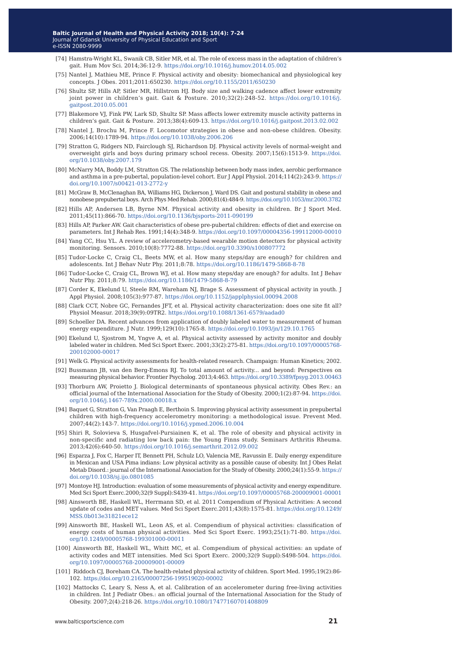- [74] Hamstra-Wright KL, Swanik CB, Sitler MR, et al. The role of excess mass in the adaptation of children's gait. Hum Mov Sci. 2014;36:12-9.<https://doi.org/10.1016/j.humov.2014.05.002>
- [75] Nantel J, Mathieu ME, Prince F. Physical activity and obesity: biomechanical and physiological key concepts. J Obes. 2011;2011:650230. [https://doi.org/10.1155/2011/650230](https://doi.org/10.1016/j.humov.2014.05.002)
- [76] Shultz SP, Hills AP, Sitler MR, Hillstrom HJ. Body size and walking cadence affect lower extremity joint power in children's gait. Gait & Posture. 2010;32(2):248-52. [https://doi.org/10.1016/j.](https://doi.org/10.1016/j.gaitpost.2010.05.001) [gaitpost.2010.05.001](https://doi.org/10.1016/j.gaitpost.2010.05.001)
- [77] Blakemore VJ, Fink PW, Lark SD, Shultz SP. Mass affects lower extremity muscle activity patterns in children's gait. Gait & Posture. 2013;38(4):609-13. <https://doi.org/10.1016/j.gaitpost.2013.02.002>
- [78] Nantel J, Brochu M, Prince F. Locomotor strategies in obese and non-obese children. Obesity. 2006;14(10):1789-94.<https://doi.org/10.1038/oby.2006.206>
- [79] Stratton G, Ridgers ND, Fairclough SJ, Richardson DJ. Physical activity levels of normal-weight and overweight girls and boys during primary school recess. Obesity. 2007;15(6):1513-9. [https://doi.](https://doi.org/10.1038/oby.2007.179) [org/10.1038/oby.2007.179](https://doi.org/10.1038/oby.2007.179)
- [80] McNarry MA, Boddy LM, Stratton GS. The relationship between body mass index, aerobic performance and asthma in a pre-pubertal, population-level cohort. Eur J Appl Physiol. 2014;114(2):243-9. [https://](https://doi.org/10.1007/s00421-013-2772-y) [doi.org/10.1007/s00421-013-2772-y](https://doi.org/10.1007/s00421-013-2772-y)
- [81] McGraw B, McClenaghan BA, Williams HG, Dickerson J, Ward DS. Gait and postural stability in obese and nonobese prepubertal boys. Arch Phys Med Rehab. 2000;81(4):484-9.<https://doi.org/10.1053/mr.2000.3782>
- [82] Hills AP, Andersen LB, Byrne NM. Physical activity and obesity in children. Br J Sport Med. 2011;45(11):866-70. <https://doi.org/10.1136/bjsports-2011-090199>
- [83] Hills AP, Parker AW. Gait characteristics of obese pre-pubertal children: effects of diet and exercise on parameters. Int J Rehab Res. 1991;14(4):348-9.<https://doi.org/10.1097/00004356-199112000-00010>
- [84] Yang CC, Hsu YL. A review of accelerometry-based wearable motion detectors for physical activity monitoring. Sensors. 2010;10(8):7772-88.<https://doi.org/10.3390/s100807772>
- [85] Tudor-Locke C, Craig CL, Beets MW, et al. How many steps/day are enough? for children and adolescents. Int J Behav Nutr Phy. 2011;8:78. <https://doi.org/10.1186/1479-5868-8-78>
- [86] Tudor-Locke C, Craig CL, Brown WJ, et al. How many steps/day are enough? for adults. Int J Behav Nutr Phy. 2011;8:79. <https://doi.org/10.1186/1479-5868-8-79>
- [87] Corder K, Ekelund U, Steele RM, Wareham NJ, Brage S. Assessment of physical activity in youth. J Appl Physiol. 2008;105(3):977-87.<https://doi.org/10.1152/japplphysiol.00094.2008>
- [88] Clark CCT, Nobre GC, Fernandes JFT, et al. Physical activity characterization: does one site fit all? Physiol Measur. 2018;39(9):09TR2.<https://doi.org/10.1088/1361-6579/aadad0>
- [89] Schoeller DA. Recent advances from application of doubly labeled water to measurement of human energy expenditure. J Nutr. 1999;129(10):1765-8. <https://doi.org/10.1093/jn/129.10.1765>
- [90] Ekelund U, Sjostrom M, Yngve A, et al. Physical activity assessed by activity monitor and doubly labeled water in children. Med Sci Sport Exerc. 2001;33(2):275-81. [https://doi.org/10.1097/00005768-](https://doi.org/10.1097/00005768-200102000-00017) [200102000-00017](https://doi.org/10.1097/00005768-200102000-00017)
- [91] Welk G. Physical activity assessments for health-related research. Champaign: Human Kinetics; 2002.
- [92] Bussmann JB, van den Berg-Emons RJ. To total amount of activity... and beyond: Perspectives on measuring physical behavior. Frontier Psycholog. 2013;4:463.<https://doi.org/10.3389/fpsyg.2013.00463>
- [93] Thorburn AW, Proietto J. Biological determinants of spontaneous physical activity. Obes Rev.: an official journal of the International Association for the Study of Obesity. 2000;1(2):87-94. [https://doi.](https://doi.org/10.1046/j.1467-789x.2000.00018.x) [org/10.1046/j.1467-789x.2000.00018.x](https://doi.org/10.1046/j.1467-789x.2000.00018.x)
- [94] Baquet G, Stratton G, Van Praagh E, Berthoin S. Improving physical activity assessment in prepubertal children with high-frequency accelerometry monitoring: a methodological issue. Prevent Med. 2007;44(2):143-7. <https://doi.org/10.1016/j.ypmed.2006.10.004>
- [95] Shiri R, Solovieva S, Husgafvel-Pursiainen K, et al. The role of obesity and physical activity in non-specific and radiating low back pain: the Young Finns study. Seminars Arthritis Rheuma. 2013;42(6):640-50.<https://doi.org/10.1016/j.semarthrit.2012.09.002>
- [96] Esparza J, Fox C, Harper IT, Bennett PH, Schulz LO, Valencia ME, Ravussin E. Daily energy expenditure in Mexican and USA Pima indians: Low physical activity as a possible cause of obesity. Int J Obes Relat Metab Disord.: journal of the International Association for the Study of Obesity. 2000;24(1):55-9. [https://](https://doi.org/10.1038/sj.ijo.0801085) [doi.org/10.1038/sj.ijo.0801085](https://doi.org/10.1038/sj.ijo.0801085)
- [97] Montoye HJ. Introduction: evaluation of some measurements of physical activity and energy expenditure. Med Sci Sport Exerc.2000;32(9 Suppl):S439-41.<https://doi.org/10.1097/00005768-200009001-00001>
- [98] Ainsworth BE, Haskell WL, Herrmann SD, et al. 2011 Compendium of Physical Activities: A second update of codes and MET values. Med Sci Sport Exerc.2011;43(8):1575-81. [https://doi.org/10.1249/](https://doi.org/10.1249/MSS.0b013e31821ece12) [MSS.0b013e31821ece12](https://doi.org/10.1249/MSS.0b013e31821ece12)
- [99] Ainsworth BE, Haskell WL, Leon AS, et al. Compendium of physical activities: classification of energy costs of human physical activities. Med Sci Sport Exerc. 1993;25(1):71-80. [https://doi.](https://doi.org/10.1249/00005768-199301000-00011) [org/10.1249/00005768-199301000-00011](https://doi.org/10.1249/00005768-199301000-00011)
- [100] Ainsworth BE, Haskell WL, Whitt MC, et al. Compendium of physical activities: an update of activity codes and MET intensities. Med Sci Sport Exerc. 2000;32(9 Suppl):S498-504. [https://doi.](https://doi.org/10.1097/00005768-200009001-00009) [org/10.1097/00005768-200009001-00009](https://doi.org/10.1097/00005768-200009001-00009)
- [101] Riddoch CJ, Boreham CA. The health-related physical activity of children. Sport Med. 1995;19(2):86- 102. <https://doi.org/10.2165/00007256-199519020-00002>
- [102] Mattocks C, Leary S, Ness A, et al. Calibration of an accelerometer during free-living activities in children. Int J Pediatr Obes.: an official journal of the International Association for the Study of Obesity. 2007;2(4):218-26.<https://doi.org/10.1080/17477160701408809>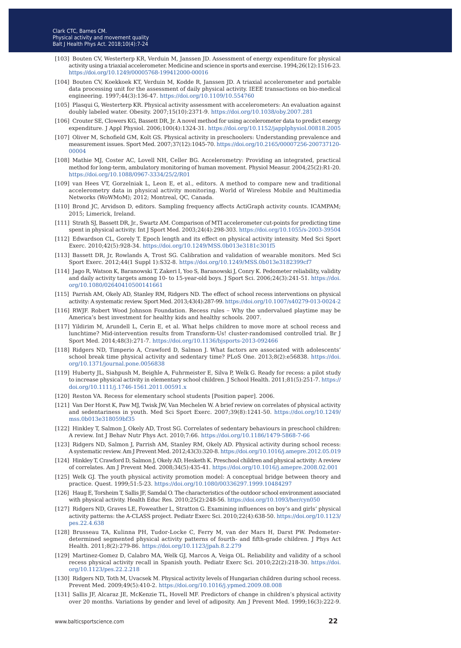- [103] Bouten CV, Westerterp KR, Verduin M, Janssen JD. Assessment of energy expenditure for physical activity using a triaxial accelerometer. Medicine and science in sports and exercise. 1994;26(12):1516-23. [https://doi.org/10.1249/00005768-199412000-00016](https://doi.org/10.1249/00005768-199412000-00016 )
- [104] Bouten CV, Koekkoek KT, Verduin M, Kodde R, Janssen JD. A triaxial accelerometer and portable data processing unit for the assessment of daily physical activity. IEEE transactions on bio-medical engineering. 1997;44(3):136-47.<https://doi.org/10.1109/10.554760>
- [105] Plasqui G, Westerterp KR. Physical activity assessment with accelerometers: An evaluation against doubly labeled water. Obesity. 2007;15(10):2371-9. <https://doi.org/10.1038/oby.2007.281>
- [106] Crouter SE, Clowers KG, Bassett DR, Jr. A novel method for using accelerometer data to predict energy expenditure. J Appl Physiol. 2006;100(4):1324-31. [https://doi.org/10.1152/japplphysiol.00818.2005](https://doi.org/10.1152/japplphysiol.00818.2005
)
- [107] Oliver M, Schofield GM, Kolt GS. Physical activity in preschoolers: Understanding prevalence and measurement issues. Sport Med. 2007;37(12):1045-70. [https://doi.org/10.2165/00007256-200737120-](https://doi.org/10.2165/00007256-200737120-00004) [00004](https://doi.org/10.2165/00007256-200737120-00004)
- [108] Mathie MJ, Coster AC, Lovell NH, Celler BG. Accelerometry: Providing an integrated, practical method for long-term, ambulatory monitoring of human movement. Physiol Measur. 2004;25(2):R1-20. <https://doi.org/10.1088/0967-3334/25/2/R01>
- [109] van Hees VT, Gorzelniak L, Leon E, et al., editors. A method to compare new and traditional accelerometry data in physical activity monitoring. World of Wireless Mobile and Multimedia Networks (WoWMoM); 2012; Montreal, QC, Canada.
- [110] Brond JC, Arvidson D, editors. Sampling frequency affects ActiGraph activity counts. ICAMPAM; 2015; Limerick, Ireland.
- [111] Strath SJ, Bassett DR, Jr., Swartz AM. Comparison of MTI accelerometer cut-points for predicting time spent in physical activity. Int J Sport Med. 2003;24(4):298-303.<https://doi.org/10.1055/s-2003-39504>
- [112] Edwardson CL, Gorely T. Epoch length and its effect on physical activity intensity. Med Sci Sport Exerc. 2010;42(5):928-34.<https://doi.org/10.1249/MSS.0b013e3181c301f5>
- [113] Bassett DR, Jr, Rowlands A, Trost SG. Calibration and validation of wearable monitors. Med Sci Sport Exerc. 2012;44(1 Suppl 1):S32-8.<https://doi.org/10.1249/MSS.0b013e3182399cf7>
- [114] Jago R, Watson K, Baranowski T, Zakeri I, Yoo S, Baranowski J, Conry K. Pedometer reliability, validity and daily activity targets among 10- to 15-year-old boys. J Sport Sci. 2006;24(3):241-51. [https://doi.](https://doi.org/10.1080/02640410500141661) [org/10.1080/02640410500141661](https://doi.org/10.1080/02640410500141661)
- [115] Parrish AM, Okely AD, Stanley RM, Ridgers ND. The effect of school recess interventions on physical activity: A systematic review. Sport Med. 2013;43(4):287-99.<https://doi.org/10.1007/s40279-013-0024-2>
- [116] RWJF. Robert Wood Johnson Foundation. Recess rules − Why the undervalued playtime may be America's best investment for healthy kids and healthy schools. 2007.
- [117] Yildirim M, Arundell L, Cerin E, et al. What helps children to move more at school recess and lunchtime? Mid-intervention results from Transform-Us! cluster-randomised controlled trial. Br J Sport Med. 2014;48(3):271-7.<https://doi.org/10.1136/bjsports-2013-092466>
- [118] Ridgers ND, Timperio A, Crawford D, Salmon J. What factors are associated with adolescents' school break time physical activity and sedentary time? PLoS One. 2013;8(2):e56838. [https://doi.](https://doi.org/10.1371/journal.pone.0056838) [org/10.1371/journal.pone.0056838](https://doi.org/10.1371/journal.pone.0056838)
- [119] Huberty JL, Siahpush M, Beighle A, Fuhrmeister E, Silva P, Welk G. Ready for recess: a pilot study to increase physical activity in elementary school children. J School Health. 2011;81(5):251-7. [https://](https://doi.org/10.1111/j.1746-1561.2011.00591.x) [doi.org/10.1111/j.1746-1561.2011.00591.x](https://doi.org/10.1111/j.1746-1561.2011.00591.x)
- [120] Reston VA. Recess for elementary school students [Position paper]. 2006.
- [121] Van Der Horst K, Paw MJ, Twisk JW, Van Mechelen W. A brief review on correlates of physical activity and sedentariness in youth. Med Sci Sport Exerc. 2007;39(8):1241-50. [https://doi.org/10.1249/](https://doi.org/10.1249/mss.0b013e318059bf35) [mss.0b013e318059bf35](https://doi.org/10.1249/mss.0b013e318059bf35)
- [122] Hinkley T, Salmon J, Okely AD, Trost SG. Correlates of sedentary behaviours in preschool children: A review. Int J Behav Nutr Phys Act. 2010;7:66. <https://doi.org/10.1186/1479-5868-7-66>
- [123] Ridgers ND, Salmon J, Parrish AM, Stanley RM, Okely AD. Physical activity during school recess: A systematic review. Am J Prevent Med. 2012;43(3):320-8.<https://doi.org/10.1016/j.amepre.2012.05.019>
- [124] Hinkley T, Crawford D, Salmon J, Okely AD, Hesketh K. Preschool children and physical activity: A review of correlates. Am J Prevent Med. 2008;34(5):435-41.<https://doi.org/10.1016/j.amepre.2008.02.001>
- [125] Welk GJ. The youth physical activity promotion model: A conceptual bridge between theory and practice. Quest. 1999;51:5-23.<https://doi.org/10.1080/00336297.1999.10484297>
- [126] Haug E, Torsheim T, Sallis JF, Samdal O. The characteristics of the outdoor school environment associated with physical activity. Health Educ Res. 2010;25(2):248-56. <https://doi.org/10.1093/her/cyn050>
- [127] Ridgers ND, Graves LE, Foweather L, Stratton G. Examining influences on boy's and girls' physical activity patterns: the A-CLASS project. Pediatr Exerc Sci. 2010;22(4):638-50. [https://doi.org/10.1123/](https://doi.org/10.1123/pes.22.4.638) [pes.22.4.638](https://doi.org/10.1123/pes.22.4.638)
- [128] Brusseau TA, Kulinna PH, Tudor-Locke C, Ferry M, van der Mars H, Darst PW. Pedometerdetermined segmented physical activity patterns of fourth- and fifth-grade children. J Phys Act Health. 2011;8(2):279-86.<https://doi.org/10.1123/jpah.8.2.279>
- [129] Martinez-Gomez D, Calabro MA, Welk GJ, Marcos A, Veiga OL. Reliability and validity of a school recess physical activity recall in Spanish youth. Pediatr Exerc Sci. 2010;22(2):218-30. [https://doi.](https://doi.org/10.1123/pes.22.2.218) [org/10.1123/pes.22.2.218](https://doi.org/10.1123/pes.22.2.218)
- [130] Ridgers ND, Toth M, Uvacsek M. Physical activity levels of Hungarian children during school recess. Prevent Med. 2009;49(5):410-2.<https://doi.org/10.1016/j.ypmed.2009.08.008>
- [131] Sallis JF, Alcaraz JE, McKenzie TL, Hovell MF. Predictors of change in children's physical activity over 20 months. Variations by gender and level of adiposity. Am J Prevent Med. 1999;16(3):222-9.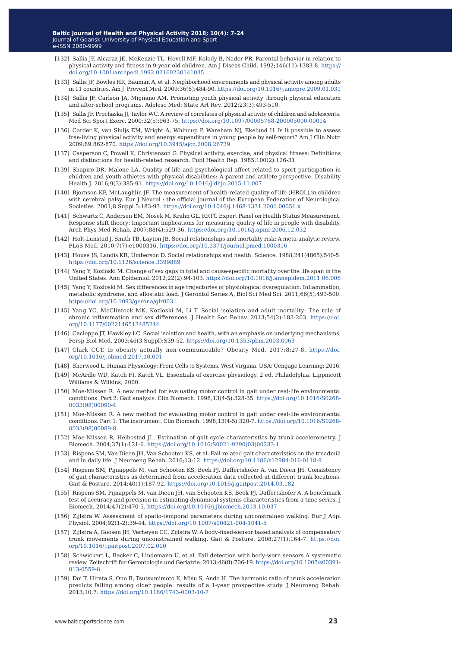- [132] Sallis JF, Alcaraz JE, McKenzie TL, Hovell MF, Kolody B, Nader PR. Parental behavior in relation to physical activity and fitness in 9-year-old children. Am J Diseas Child. 1992;146(11):1383-8. [https://](https://doi.org/10.1001/archpedi.1992.02160230141035) [doi.org/10.1001/archpedi.1992.02160230141035](https://doi.org/10.1001/archpedi.1992.02160230141035)
- [133] Sallis JF, Bowles HR, Bauman A, et al. Neighborhood environments and physical activity among adults in 11 countries. Am J Prevent Med. 2009;36(6):484-90.<https://doi.org/10.1016/j.amepre.2009.01.031>
- [134] Sallis JF, Carlson JA, Mignano AM. Promoting youth physical activity through physical education and after-school programs. Adolesc Med: State Art Rev. 2012;23(3):493-510.
- [135] Sallis JF, Prochaska JJ, Taylor WC. A review of correlates of physical activity of children and adolescents. Med Sci Sport Exerc. 2000;32(5):963-75. <https://doi.org/10.1097/00005768-200005000-00014>
- [136] Corder K, van Sluijs EM, Wright A, Whincup P, Wareham NJ, Ekelund U. Is it possible to assess free-living physical activity and energy expenditure in young people by self-report? Am J Clin Nutr. 2009;89:862-870. [https://doi.org/10.3945/ajcn.2008.26739](https://doi.org/10.3945/ajcn.2008.26739 )
- [137] Casperson C, Powell K, Christenson G. Physical activity, exercise, and physical fitness: Definitions and distinctions for health-related research. Publ Health Rep. 1985;100(2):126-31.
- [139] Shapiro DR, Malone LA. Quality of life and psychological affect related to sport participation in children and youth athletes with physical disabilities: A parent and athlete perspective. Disability Health J. 2016;9(3):385-91. <https://doi.org/10.1016/j.dhjo.2015.11.007>
- [140] Bjornson KF, McLaughlin JF. The measurement of health-related quality of life (HRQL) in children with cerebral palsy. Eur J Neurol : the official journal of the European Federation of Neurological Societies. 2001;8 Suppl 5:183-93. <https://doi.org/10.1046/j.1468-1331.2001.00051.x>
- [141] Schwartz C, Andersen EM, Nosek M, Krahn GL. RRTC Expert Panel on Health Status Measurement. Response shift theory: Important implications for measuring quality of life in people with disability. Arch Phys Med Rehab. 2007;88(4):529-36.<https://doi.org/10.1016/j.apmr.2006.12.032>
- [142] Holt-Lunstad J, Smith TB, Layton JB. Social relationships and mortality risk: A meta-analytic review. PLoS Med. 2010;7(7):e1000316.<https://doi.org/10.1371/journal.pmed.1000316>
- [143] House JS, Landis KR, Umberson D. Social relationships and health. Science. 1988;241(4865):540-5. <https://doi.org/10.1126/science.3399889>
- [144] Yang Y, Kozloski M. Change of sex gaps in total and cause-specific mortality over the life span in the United States. Ann Epidemiol. 2012;22(2):94-103.<https://doi.org/10.1016/j.annepidem.2011.06.006>
- [145] Yang Y, Kozloski M. Sex differences in age trajectories of physiological dysregulation: Inflammation, metabolic syndrome, and allostatic load. J Gerontol Series A, Biol Sci Med Sci. 2011;66(5):493-500. <https://doi.org/10.1093/gerona/glr003>
- [145] Yang YC, McClintock MK, Kozloski M, Li T. Social isolation and adult mortality: The role of chronic inflammation and sex differences. J Health Soc Behav. 2013;54(2):183-203. https://doi. org/10.1177/0022146513485244
- [146] Cacioppo JT, Hawkley LC. Social isolation and health, with an emphasis on underlying mechanisms. Persp Biol Med. 2003;46(3 Suppl):S39-52. <https://doi.org/10.1353/pbm.2003.0063>
- [147] Clark CCT. Is obesity actually non-communicable? Obesity Med. 2017;8:27-8. [https://doi.](https://doi.org/10.1016/j.obmed.2017.10.001) [org/10.1016/j.obmed.2017.10.001](https://doi.org/10.1016/j.obmed.2017.10.001)
- [148] Sherwood L. Human Physiology: From Cells to Systems. West Virginia. USA: Cengage Learning; 2016.
- [149] McArdle WD, Katch FI, Katch VL. Essentials of exercise physiology. 2 ed. Philadelphia: Lippincott Williams & Wilkins; 2000.
- [150] Moe-Nilssen R. A new method for evaluating motor control in gait under real-life environmental conditions. Part 2: Gait analysis. Clin Biomech. 1998;13(4-5):328-35. [https://doi.org/10.1016/S0268-](ttps://doi.org/10.1016/S0268-0033(98)00090-4) [0033\(98\)00090-4](ttps://doi.org/10.1016/S0268-0033(98)00090-4)
- [151] Moe-Nilssen R. A new method for evaluating motor control in gait under real-life environmental conditions. Part 1: The instrument. Clin Biomech. 1998;13(4-5):320-7. [https://doi.org/10.1016/S0268-](https://doi.org/10.1016/S0268-0033(98)00089-8) [0033\(98\)00089-8](https://doi.org/10.1016/S0268-0033(98)00089-8)
- [152] Moe-Nilssen R, Helbostad JL. Estimation of gait cycle characteristics by trunk accelerometry. J Biomech. 2004;37(1):121-6. [https://doi.org/10.1016/S0021-9290\(03\)00233-1](https://doi.org/10.1016/S0021-9290(03)00233-1)
- [153] Rispens SM, Van Dieen JH, Van Schooten KS, et al. Fall-related gait characteristics on the treadmill and in daily life. J Neuroeng Rehab. 2016;13:12. <https://doi.org/10.1186/s12984-016-0118-9>
- [154] Rispens SM, Pijnappels M, van Schooten KS, Beek PJ, Daffertshofer A, van Dieen JH. Consistency of gait characteristics as determined from acceleration data collected at different trunk locations. Gait & Posture. 2014;40(1):187-92.<https://doi.org/10.1016/j.gaitpost.2014.03.182>
- [155] Rispens SM, Pijnappels M, van Dieen JH, van Schooten KS, Beek PJ, Daffertshofer A. A benchmark test of accuracy and precision in estimating dynamical systems characteristics from a time series. J Biomech. 2014;47(2):470-5.<https://doi.org/10.1016/j.jbiomech.2013.10.037>
- [156] Zijlstra W. Assessment of spatio-temporal parameters during unconstrained walking. Eur J Appl Physiol. 2004;92(1-2):39-44. <https://doi.org/10.1007/s00421-004-1041-5>
- [157] Zijlstra A, Goosen JH, Verheyen CC, Zijlstra W. A body-fixed-sensor based analysis of compensatory trunk movements during unconstrained walking. Gait & Posture. 2008;27(1):164-7. [https://doi.](https://doi.org/10.1016/j.gaitpost.2007.02.010) [org/10.1016/j.gaitpost.2007.02.010](https://doi.org/10.1016/j.gaitpost.2007.02.010)
- [158] Schwickert L, Becker C, Lindemann U, et al. Fall detection with body-worn sensors A systematic review. Zeitschrift fur Gerontologie und Geriatrie. 2013;46(8):706-19. [https://doi.org/10.1007/s00391-](https://doi.org/10.1007/s00391-013-0559-8) [013-0559-8](https://doi.org/10.1007/s00391-013-0559-8)
- [159] Doi T, Hirata S, Ono R, Tsutsumimoto K, Misu S, Ando H. The harmonic ratio of trunk acceleration predicts falling among older people: results of a 1-year prospective study. J Neuroeng Rehab. 2013;10:7.<https://doi.org/10.1186/1743-0003-10-7>